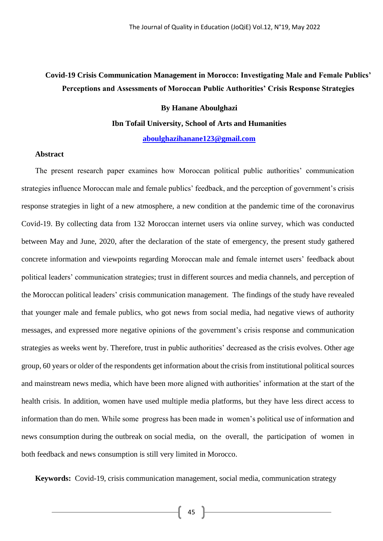# **Covid-19 Crisis Communication Management in Morocco: Investigating Male and Female Publics' Perceptions and Assessments of Moroccan Public Authorities' Crisis Response Strategies**

#### **By Hanane Aboulghazi**

#### **Ibn Tofail University, School of Arts and Humanities**

**[aboulghazihanane123@gmail.com](mailto:aboulghazihanane123@gmail.com)**

## **Abstract**

The present research paper examines how Moroccan political public authorities' communication strategies influence Moroccan male and female publics' feedback, and the perception of government's crisis response strategies in light of a new atmosphere, a new condition at the pandemic time of the coronavirus Covid-19. By collecting data from 132 Moroccan internet users via online survey, which was conducted between May and June, 2020, after the declaration of the state of emergency, the present study gathered concrete information and viewpoints regarding Moroccan male and female internet users' feedback about political leaders' communication strategies; trust in different sources and media channels, and perception of the Moroccan political leaders' crisis communication management. The findings of the study have revealed that younger male and female publics, who got news from social media, had negative views of authority messages, and expressed more negative opinions of the government's crisis response and communication strategies as weeks went by. Therefore, trust in public authorities' decreased as the crisis evolves. Other age group, 60 years or older of the respondents get information about the crisis from institutional political sources and mainstream news media, which have been more aligned with authorities' information at the start of the health crisis. In addition, women have used multiple media platforms, but they have less direct access to information than do men. While some progress has been made in women's political use of information and news consumption during the outbreak on social media, on the overall, the participation of women in both feedback and news consumption is still very limited in Morocco.

**Keywords:** Covid-19, crisis communication management, social media, communication strategy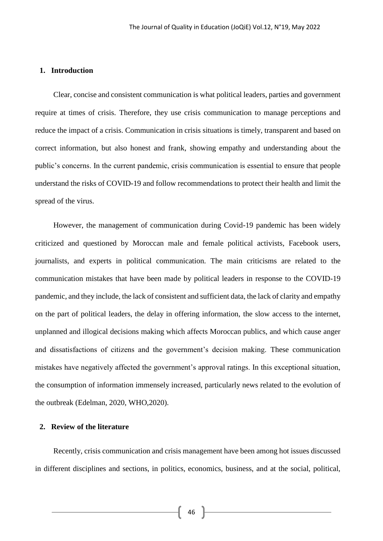#### **1. Introduction**

Clear, concise and consistent communication is what political leaders, parties and government require at times of crisis. Therefore, they use crisis communication to manage perceptions and reduce the impact of a crisis. Communication in crisis situations is timely, transparent and based on correct information, but also honest and frank, showing empathy and understanding about the public's concerns. In the current pandemic, crisis communication is essential to ensure that people understand the risks of COVID-19 and follow recommendations to protect their health and limit the spread of the virus.

However, the management of communication during Covid-19 pandemic has been widely criticized and questioned by Moroccan male and female political activists, Facebook users, journalists, and experts in political communication. The main criticisms are related to the communication mistakes that have been made by political leaders in response to the COVID-19 pandemic, and they include, the lack of consistent and sufficient data, the lack of clarity and empathy on the part of political leaders, the delay in offering information, the slow access to the internet, unplanned and illogical decisions making which affects Moroccan publics, and which cause anger and dissatisfactions of citizens and the government's decision making. These communication mistakes have negatively affected the government's approval ratings. In this exceptional situation, the consumption of information immensely increased, particularly news related to the evolution of the outbreak (Edelman, 2020, WHO,2020).

# **2. Review of the literature**

Recently, crisis communication and crisis management have been among hot issues discussed in different disciplines and sections, in politics, economics, business, and at the social, political,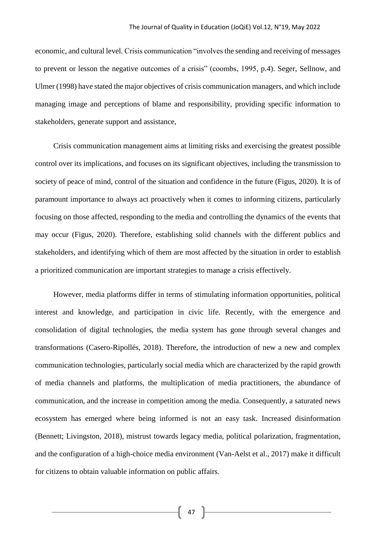economic, and cultural level. Crisis communication "involves the sending and receiving of messages to prevent or lesson the negative outcomes of a crisis" (coombs, 1995, p.4). Seger, Sellnow, and Ulmer (1998) have stated the major objectives of crisis communication managers, and which include managing image and perceptions of blame and responsibility, providing specific information to stakeholders, generate support and assistance,

Crisis communication management aims at limiting risks and exercising the greatest possible control over its implications, and focuses on its significant objectives, including the transmission to society of peace of mind, control of the situation and confidence in the future (Figus, 2020). It is of paramount importance to always act proactively when it comes to informing citizens, particularly focusing on those affected, responding to the media and controlling the dynamics of the events that may occur (Figus, 2020). Therefore, establishing solid channels with the different publics and stakeholders, and identifying which of them are most affected by the situation in order to establish a prioritized communication are important strategies to manage a crisis effectively.

However, media platforms differ in terms of stimulating information opportunities, political interest and knowledge, and participation in civic life. Recently, with the emergence and consolidation of digital technologies, the media system has gone through several changes and transformations (Casero-Ripollés, 2018). Therefore, the introduction of new a new and complex communication technologies, particularly social media which are characterized by the rapid growth of media channels and platforms, the multiplication of media practitioners, the abundance of communication, and the increase in competition among the media. Consequently, a saturated news ecosystem has emerged where being informed is not an easy task. Increased disinformation (Bennett; Livingston, 2018), mistrust towards legacy media, political polarization, fragmentation, and the configuration of a high-choice media environment (Van-Aelst et al., 2017) make it difficult for citizens to obtain valuable information on public affairs.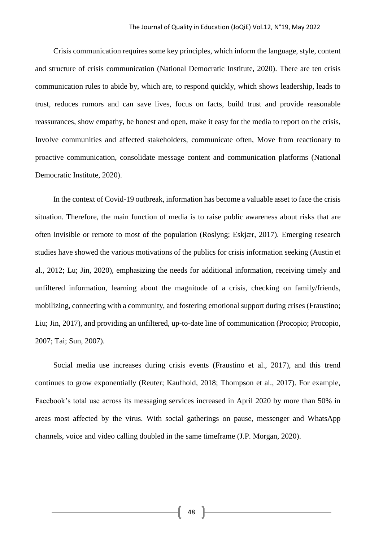Crisis communication requires some key principles, which inform the language, style, content and structure of crisis communication (National Democratic Institute, 2020). There are ten crisis communication rules to abide by, which are, to respond quickly, which shows leadership, leads to trust, reduces rumors and can save lives, focus on facts, build trust and provide reasonable reassurances, show empathy, be honest and open, make it easy for the media to report on the crisis, Involve communities and affected stakeholders, communicate often, Move from reactionary to proactive communication, consolidate message content and communication platforms (National Democratic Institute, 2020).

In the context of Covid-19 outbreak, information has become a valuable asset to face the crisis situation. Therefore, the main function of media is to raise public awareness about risks that are often invisible or remote to most of the population (Roslyng; Eskjær, 2017). Emerging research studies have showed the various motivations of the publics for crisis information seeking (Austin et al., 2012; Lu; Jin, 2020), emphasizing the needs for additional information, receiving timely and unfiltered information, learning about the magnitude of a crisis, checking on family/friends, mobilizing, connecting with a community, and fostering emotional support during crises (Fraustino; Liu; Jin, 2017), and providing an unfiltered, up-to-date line of communication (Procopio; Procopio, 2007; Tai; Sun, 2007).

Social media use increases during crisis events (Fraustino et al., 2017), and this trend continues to grow exponentially (Reuter; Kaufhold, 2018; Thompson et al., 2017). For example, Facebook's total use across its messaging services increased in April 2020 by more than 50% in areas most affected by the virus. With social gatherings on pause, messenger and WhatsApp channels, voice and video calling doubled in the same timeframe (J.P. Morgan, 2020).

48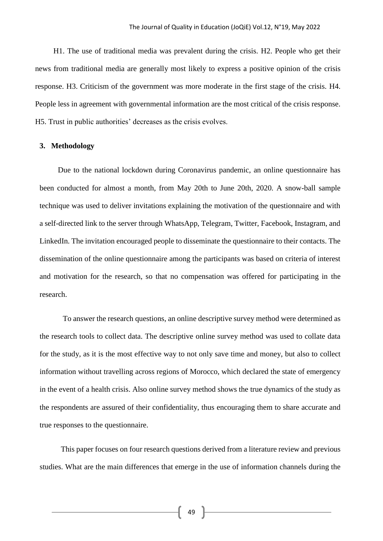H1. The use of traditional media was prevalent during the crisis. H2. People who get their news from traditional media are generally most likely to express a positive opinion of the crisis response. H3. Criticism of the government was more moderate in the first stage of the crisis. H4. People less in agreement with governmental information are the most critical of the crisis response. H5. Trust in public authorities' decreases as the crisis evolves.

#### **3. Methodology**

Due to the national lockdown during Coronavirus pandemic, an online questionnaire has been conducted for almost a month, from May 20th to June 20th, 2020. A snow-ball sample technique was used to deliver invitations explaining the motivation of the questionnaire and with a self-directed link to the server through WhatsApp, Telegram, Twitter, Facebook, Instagram, and LinkedIn. The invitation encouraged people to disseminate the questionnaire to their contacts. The dissemination of the online questionnaire among the participants was based on criteria of interest and motivation for the research, so that no compensation was offered for participating in the research.

 To answer the research questions, an online descriptive survey method were determined as the research tools to collect data. The descriptive online survey method was used to collate data for the study, as it is the most effective way to not only save time and money, but also to collect information without travelling across regions of Morocco, which declared the state of emergency in the event of a health crisis. Also online survey method shows the true dynamics of the study as the respondents are assured of their confidentiality, thus encouraging them to share accurate and true responses to the questionnaire.

 This paper focuses on four research questions derived from a literature review and previous studies. What are the main differences that emerge in the use of information channels during the

 $49$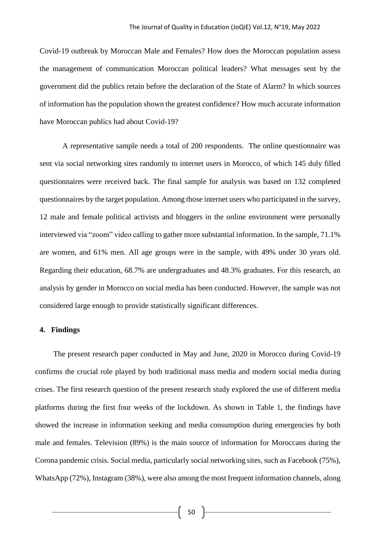Covid-19 outbreak by Moroccan Male and Females? How does the Moroccan population assess the management of communication Moroccan political leaders? What messages sent by the government did the publics retain before the declaration of the State of Alarm? In which sources of information has the population shown the greatest confidence? How much accurate information have Moroccan publics had about Covid-19?

A representative sample needs a total of 200 respondents. The online questionnaire was sent via social networking sites randomly to internet users in Morocco, of which 145 duly filled questionnaires were received back. The final sample for analysis was based on 132 completed questionnaires by the target population. Among those internet users who participated in the survey, 12 male and female political activists and bloggers in the online environment were personally interviewed via "zoom" video calling to gather more substantial information. In the sample, 71.1% are women, and 61% men. All age groups were in the sample, with 49% under 30 years old. Regarding their education, 68.7% are undergraduates and 48.3% graduates. For this research, an analysis by gender in Morocco on social media has been conducted. However, the sample was not considered large enough to provide statistically significant differences.

#### **4. Findings**

The present research paper conducted in May and June, 2020 in Morocco during Covid-19 confirms the crucial role played by both traditional mass media and modern social media during crises. The first research question of the present research study explored the use of different media platforms during the first four weeks of the lockdown. As shown in Table 1, the findings have showed the increase in information seeking and media consumption during emergencies by both male and females. Television (89%) is the main source of information for Moroccans during the Corona pandemic crisis. Social media, particularly social networking sites, such as Facebook (75%), WhatsApp (72%), Instagram (38%), were also among the most frequent information channels, along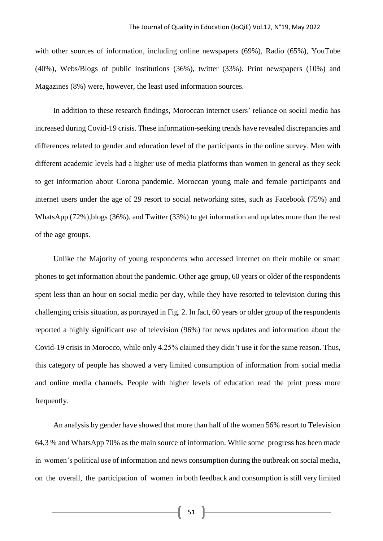with other sources of information, including online newspapers (69%), Radio (65%), YouTube (40%), Webs/Blogs of public institutions (36%), twitter (33%). Print newspapers (10%) and Magazines (8%) were, however, the least used information sources.

In addition to these research findings, Moroccan internet users' reliance on social media has increased during Covid-19 crisis. These information-seeking trends have revealed discrepancies and differences related to gender and education level of the participants in the online survey. Men with different academic levels had a higher use of media platforms than women in general as they seek to get information about Corona pandemic. Moroccan young male and female participants and internet users under the age of 29 resort to social networking sites, such as Facebook (75%) and WhatsApp (72%),blogs (36%), and Twitter (33%) to get information and updates more than the rest of the age groups.

Unlike the Majority of young respondents who accessed internet on their mobile or smart phones to get information about the pandemic. Other age group, 60 years or older of the respondents spent less than an hour on social media per day, while they have resorted to television during this challenging crisis situation, as portrayed in Fig. 2. In fact, 60 years or older group of the respondents reported a highly significant use of television (96%) for news updates and information about the Covid-19 crisis in Morocco, while only 4.25% claimed they didn't use it for the same reason. Thus, this category of people has showed a very limited consumption of information from social media and online media channels. People with higher levels of education read the print press more frequently.

An analysis by gender have showed that more than half of the women 56% resort to Television 64,3 % and WhatsApp 70% as the main source of information. While some progress has been made in women's political use of information and news consumption during the outbreak on social media, on the overall, the participation of women in both feedback and consumption is still very limited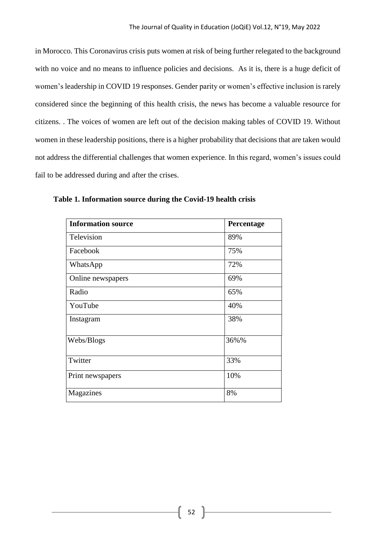in Morocco. This Coronavirus crisis puts women at risk of being further relegated to the background with no voice and no means to influence policies and decisions. As it is, there is a huge deficit of women's leadership in COVID 19 responses. Gender parity or women's effective inclusion is rarely considered since the beginning of this health crisis, the news has become a valuable resource for citizens. . The voices of women are left out of the decision making tables of COVID 19. Without women in these leadership positions, there is a higher probability that decisions that are taken would not address the differential challenges that women experience. In this regard, women's issues could fail to be addressed during and after the crises.

| <b>Information source</b> | Percentage |
|---------------------------|------------|
| Television                | 89%        |
| Facebook                  | 75%        |
| WhatsApp                  | 72%        |
| Online newspapers         | 69%        |
| Radio                     | 65%        |
| YouTube                   | 40%        |
| Instagram                 | 38%        |
| Webs/Blogs                | 36%%       |
| Twitter                   | 33%        |
| Print newspapers          | 10%        |
| Magazines                 | 8%         |

**Table 1. Information source during the Covid-19 health crisis**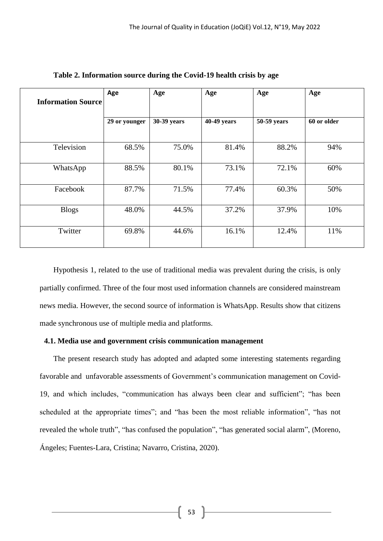| <b>Information Source</b> | Age           | Age         | Age         | Age         | Age         |  |
|---------------------------|---------------|-------------|-------------|-------------|-------------|--|
|                           | 29 or younger | 30-39 years | 40-49 years | 50-59 years | 60 or older |  |
| Television                | 68.5%         | 75.0%       | 81.4%       | 88.2%       | 94%         |  |
| WhatsApp                  | 88.5%         | 80.1%       | 73.1%       | 72.1%       | 60%         |  |
| Facebook                  | 87.7%         | 71.5%       | 77.4%       | 60.3%       | 50%         |  |
| <b>Blogs</b>              | 48.0%         | 44.5%       | 37.2%       | 37.9%       | 10%         |  |
| Twitter                   | 69.8%         | 44.6%       | 16.1%       | 12.4%       | 11%         |  |

**Table 2. Information source during the Covid-19 health crisis by age**

Hypothesis 1, related to the use of traditional media was prevalent during the crisis, is only partially confirmed. Three of the four most used information channels are considered mainstream news media. However, the second source of information is WhatsApp. Results show that citizens made synchronous use of multiple media and platforms.

# **4.1. Media use and government crisis communication management**

The present research study has adopted and adapted some interesting statements regarding favorable and unfavorable assessments of Government's communication management on Covid-19, and which includes, "communication has always been clear and sufficient"; "has been scheduled at the appropriate times"; and "has been the most reliable information", "has not revealed the whole truth", "has confused the population", "has generated social alarm", (Moreno, Ángeles; Fuentes-Lara, Cristina; Navarro, Cristina, 2020).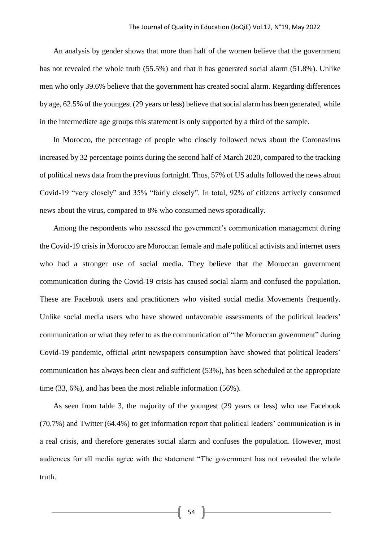An analysis by gender shows that more than half of the women believe that the government has not revealed the whole truth (55.5%) and that it has generated social alarm (51.8%). Unlike men who only 39.6% believe that the government has created social alarm. Regarding differences by age, 62.5% of the youngest (29 years or less) believe that social alarm has been generated, while in the intermediate age groups this statement is only supported by a third of the sample.

In Morocco, the percentage of people who closely followed news about the Coronavirus increased by 32 percentage points during the second half of March 2020, compared to the tracking of political news data from the previous fortnight. Thus, 57% of US adults followed the news about Covid-19 "very closely" and 35% "fairly closely". In total, 92% of citizens actively consumed news about the virus, compared to 8% who consumed news sporadically.

Among the respondents who assessed the government's communication management during the Covid-19 crisis in Morocco are Moroccan female and male political activists and internet users who had a stronger use of social media. They believe that the Moroccan government communication during the Covid-19 crisis has caused social alarm and confused the population. These are Facebook users and practitioners who visited social media Movements frequently. Unlike social media users who have showed unfavorable assessments of the political leaders' communication or what they refer to as the communication of "the Moroccan government" during Covid-19 pandemic, official print newspapers consumption have showed that political leaders' communication has always been clear and sufficient (53%), has been scheduled at the appropriate time (33, 6%), and has been the most reliable information (56%).

As seen from table 3, the majority of the youngest (29 years or less) who use Facebook (70,7%) and Twitter (64.4%) to get information report that political leaders' communication is in a real crisis, and therefore generates social alarm and confuses the population. However, most audiences for all media agree with the statement "The government has not revealed the whole truth.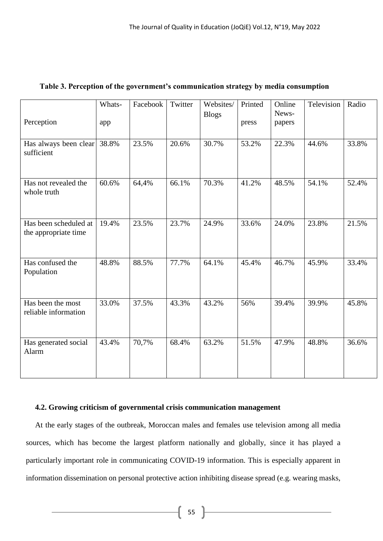| Perception                                    | Whats-<br>app | Facebook | Twitter | Websites/<br><b>Blogs</b> | Printed<br>press | Online<br>News-<br>papers | Television | Radio |
|-----------------------------------------------|---------------|----------|---------|---------------------------|------------------|---------------------------|------------|-------|
| Has always been clear<br>sufficient           | 38.8%         | 23.5%    | 20.6%   | 30.7%                     | 53.2%            | 22.3%                     | 44.6%      | 33.8% |
| Has not revealed the<br>whole truth           | 60.6%         | 64,4%    | 66.1%   | 70.3%                     | 41.2%            | 48.5%                     | 54.1%      | 52.4% |
| Has been scheduled at<br>the appropriate time | 19.4%         | 23.5%    | 23.7%   | 24.9%                     | 33.6%            | 24.0%                     | 23.8%      | 21.5% |
| Has confused the<br>Population                | 48.8%         | 88.5%    | 77.7%   | 64.1%                     | 45.4%            | 46.7%                     | 45.9%      | 33.4% |
| Has been the most<br>reliable information     | 33.0%         | 37.5%    | 43.3%   | 43.2%                     | 56%              | 39.4%                     | 39.9%      | 45.8% |
| Has generated social<br>Alarm                 | 43.4%         | 70,7%    | 68.4%   | 63.2%                     | 51.5%            | 47.9%                     | 48.8%      | 36.6% |

# **Table 3. Perception of the government's communication strategy by media consumption**

# **4.2. Growing criticism of governmental crisis communication management**

At the early stages of the outbreak, Moroccan males and females use television among all media sources, which has become the largest platform nationally and globally, since it has played a particularly important role in communicating COVID-19 information. This is especially apparent in information dissemination on personal protective action inhibiting disease spread (e.g. wearing masks,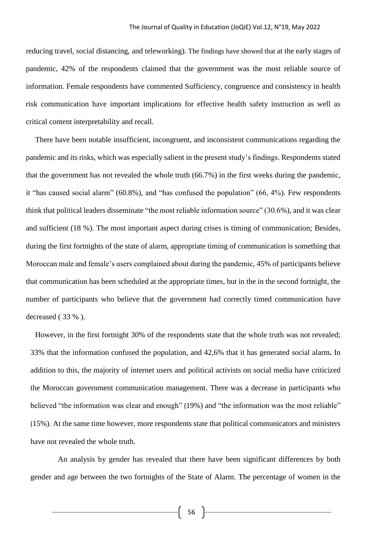reducing travel, social distancing, and teleworking). The findings have showed that at the early stages of pandemic, 42% of the respondents claimed that the government was the most reliable source of information. Female respondents have commented Sufficiency, congruence and consistency in health risk communication have important implications for effective health safety instruction as well as critical content interpretability and recall.

There have been notable insufficient, incongruent, and inconsistent communications regarding the pandemic and its risks, which was especially salient in the present study's findings. Respondents stated that the government has not revealed the whole truth (66.7%) in the first weeks during the pandemic, it "has caused social alarm" (60.8%), and "has confused the population" (66, 4%). Few respondents think that political leaders disseminate "the most reliable information source" (30.6%), and it was clear and sufficient (18 %). The most important aspect during crises is timing of communication; Besides, during the first fortnights of the state of alarm, appropriate timing of communication is something that Moroccan male and female's users complained about during the pandemic, 45% of participants believe that communication has been scheduled at the appropriate times, but in the in the second fortnight, the number of participants who believe that the government had correctly timed communication have decreased ( 33 % ).

However, in the first fortnight 30% of the respondents state that the whole truth was not revealed; 33% that the information confused the population, and 42,6% that it has generated social alarm**.** In addition to this, the majority of internet users and political activists on social media have criticized the Moroccan government communication management. There was a decrease in participants who believed "the information was clear and enough" (19%) and "the information was the most reliable" (15%). At the same time however, more respondents state that political communicators and ministers have not revealed the whole truth.

An analysis by gender has revealed that there have been significant differences by both gender and age between the two fortnights of the State of Alarm. The percentage of women in the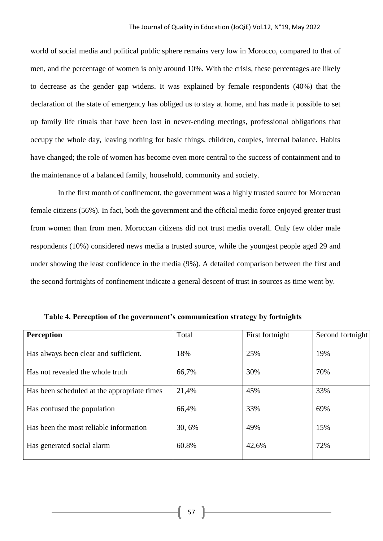world of social media and political public sphere remains very low in Morocco, compared to that of men, and the percentage of women is only around 10%. With the crisis, these percentages are likely to decrease as the gender gap widens. It was explained by female respondents (40%) that the declaration of the state of emergency has obliged us to stay at home, and has made it possible to set up family life rituals that have been lost in never-ending meetings, professional obligations that occupy the whole day, leaving nothing for basic things, children, couples, internal balance. Habits have changed; the role of women has become even more central to the success of containment and to the maintenance of a balanced family, household, community and society.

In the first month of confinement, the government was a highly trusted source for Moroccan female citizens (56%). In fact, both the government and the official media force enjoyed greater trust from women than from men. Moroccan citizens did not trust media overall. Only few older male respondents (10%) considered news media a trusted source, while the youngest people aged 29 and under showing the least confidence in the media (9%). A detailed comparison between the first and the second fortnights of confinement indicate a general descent of trust in sources as time went by.

| <b>Perception</b>                           | Total  | First fortnight | Second fortnight |
|---------------------------------------------|--------|-----------------|------------------|
| Has always been clear and sufficient.       | 18%    | 25%             | 19%              |
| Has not revealed the whole truth            | 66,7%  | 30%             | 70%              |
| Has been scheduled at the appropriate times | 21,4%  | 45%             | 33%              |
| Has confused the population                 | 66,4%  | 33%             | 69%              |
| Has been the most reliable information      | 30, 6% | 49%             | 15%              |
| Has generated social alarm                  | 60.8%  | 42,6%           | 72%              |

**Table 4. Perception of the government's communication strategy by fortnights**

57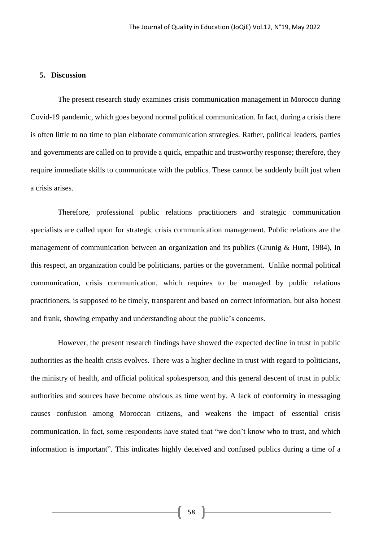# **5. Discussion**

The present research study examines crisis communication management in Morocco during Covid-19 pandemic, which goes beyond normal political communication. In fact, during a crisis there is often little to no time to plan elaborate communication strategies. Rather, political leaders, parties and governments are called on to provide a quick, empathic and trustworthy response; therefore, they require immediate skills to communicate with the publics. These cannot be suddenly built just when a crisis arises.

Therefore, professional public relations practitioners and strategic communication specialists are called upon for strategic crisis communication management. Public relations are the management of communication between an organization and its publics (Grunig & Hunt, 1984), In this respect, an organization could be politicians, parties or the government. Unlike normal political communication, crisis communication, which requires to be managed by public relations practitioners, is supposed to be timely, transparent and based on correct information, but also honest and frank, showing empathy and understanding about the public's concerns.

However, the present research findings have showed the expected decline in trust in public authorities as the health crisis evolves. There was a higher decline in trust with regard to politicians, the ministry of health, and official political spokesperson, and this general descent of trust in public authorities and sources have become obvious as time went by. A lack of conformity in messaging causes confusion among Moroccan citizens, and weakens the impact of essential crisis communication. In fact, some respondents have stated that "we don't know who to trust, and which information is important". This indicates highly deceived and confused publics during a time of a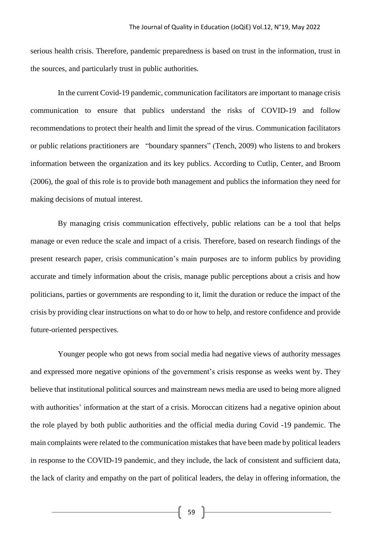serious health crisis. Therefore, pandemic preparedness is based on trust in the information, trust in the sources, and particularly trust in public authorities.

In the current Covid-19 pandemic, communication facilitators are important to manage crisis communication to ensure that publics understand the risks of COVID-19 and follow recommendations to protect their health and limit the spread of the virus. Communication facilitators or public relations practitioners are "boundary spanners" (Tench, 2009) who listens to and brokers information between the organization and its key publics. According to Cutlip, Center, and Broom (2006), the goal of this role is to provide both management and publics the information they need for making decisions of mutual interest.

By managing crisis communication effectively, public relations can be a tool that helps manage or even reduce the scale and impact of a crisis. Therefore, based on research findings of the present research paper, crisis communication's main purposes are to inform publics by providing accurate and timely information about the crisis, manage public perceptions about a crisis and how politicians, parties or governments are responding to it, limit the duration or reduce the impact of the crisis by providing clear instructions on what to do or how to help, and restore confidence and provide future-oriented perspectives.

Younger people who got news from social media had negative views of authority messages and expressed more negative opinions of the government's crisis response as weeks went by. They believe that institutional political sources and mainstream news media are used to being more aligned with authorities' information at the start of a crisis. Moroccan citizens had a negative opinion about the role played by both public authorities and the official media during Covid -19 pandemic. The main complaints were related to the communication mistakes that have been made by political leaders in response to the COVID-19 pandemic, and they include, the lack of consistent and sufficient data, the lack of clarity and empathy on the part of political leaders, the delay in offering information, the

 $\begin{bmatrix} 59 \end{bmatrix}$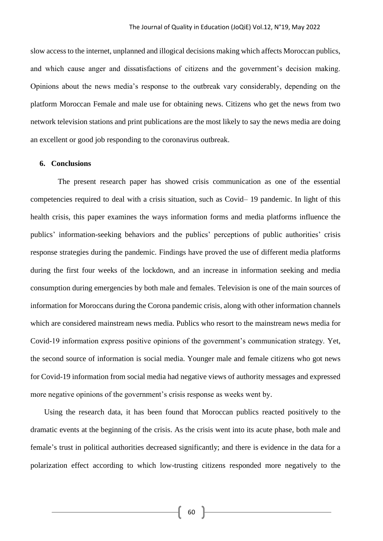slow access to the internet, unplanned and illogical decisions making which affects Moroccan publics, and which cause anger and dissatisfactions of citizens and the government's decision making. Opinions about the news media's response to the outbreak vary considerably, depending on the platform Moroccan Female and male use for obtaining news. Citizens who get the news from two network television stations and print publications are the most likely to say the news media are doing an excellent or good job responding to the coronavirus outbreak.

#### **6. Conclusions**

The present research paper has showed crisis communication as one of the essential competencies required to deal with a crisis situation, such as Covid– 19 pandemic. In light of this health crisis, this paper examines the ways information forms and media platforms influence the publics' information-seeking behaviors and the publics' perceptions of public authorities' crisis response strategies during the pandemic. Findings have proved the use of different media platforms during the first four weeks of the lockdown, and an increase in information seeking and media consumption during emergencies by both male and females. Television is one of the main sources of information for Moroccans during the Corona pandemic crisis, along with other information channels which are considered mainstream news media. Publics who resort to the mainstream news media for Covid-19 information express positive opinions of the government's communication strategy. Yet, the second source of information is social media. Younger male and female citizens who got news for Covid-19 information from social media had negative views of authority messages and expressed more negative opinions of the government's crisis response as weeks went by.

Using the research data, it has been found that Moroccan publics reacted positively to the dramatic events at the beginning of the crisis. As the crisis went into its acute phase, both male and female's trust in political authorities decreased significantly; and there is evidence in the data for a polarization effect according to which low-trusting citizens responded more negatively to the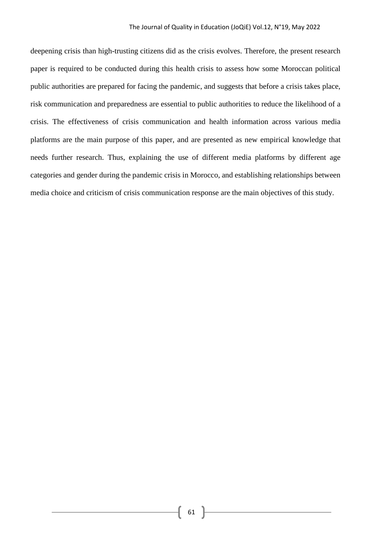deepening crisis than high-trusting citizens did as the crisis evolves. Therefore, the present research paper is required to be conducted during this health crisis to assess how some Moroccan political public authorities are prepared for facing the pandemic, and suggests that before a crisis takes place, risk communication and preparedness are essential to public authorities to reduce the likelihood of a crisis. The effectiveness of crisis communication and health information across various media platforms are the main purpose of this paper, and are presented as new empirical knowledge that needs further research. Thus, explaining the use of different media platforms by different age categories and gender during the pandemic crisis in Morocco, and establishing relationships between media choice and criticism of crisis communication response are the main objectives of this study.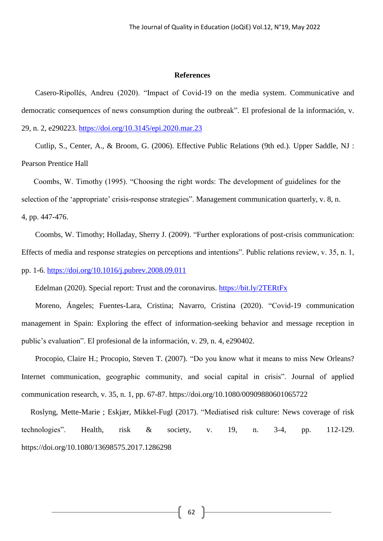#### **References**

Casero-Ripollés, Andreu (2020). "Impact of Covid-19 on the media system. Communicative and democratic consequences of news consumption during the outbreak". El profesional de la información, v. 29, n. 2, e290223.<https://doi.org/10.3145/epi.2020.mar.23>

Cutlip, S., Center, A., & Broom, G. (2006). Effective Public Relations (9th ed.). Upper Saddle, NJ : Pearson Prentice Hall

 Coombs, W. Timothy (1995). "Choosing the right words: The development of guidelines for the selection of the 'appropriate' crisis-response strategies". Management communication quarterly, v. 8, n. 4, pp. 447-476.

Coombs, W. Timothy; Holladay, Sherry J. (2009). "Further explorations of post-crisis communication: Effects of media and response strategies on perceptions and intentions". Public relations review, v. 35, n. 1, pp. 1-6. <https://doi.org/10.1016/j.pubrev.2008.09.011>

Edelman (2020). Special report: Trust and the coronavirus. <https://bit.ly/2TERtFx>

Moreno, Ángeles; Fuentes-Lara, Cristina; Navarro, Cristina (2020). "Covid-19 communication management in Spain: Exploring the effect of information-seeking behavior and message reception in public's evaluation". El profesional de la información, v. 29, n. 4, e290402.

Procopio, Claire H.; Procopio, Steven T. (2007). "Do you know what it means to miss New Orleans? Internet communication, geographic community, and social capital in crisis". Journal of applied communication research, v. 35, n. 1, pp. 67-87. https://doi.org/10.1080/00909880601065722

Roslyng, Mette-Marie ; Eskjær, Mikkel-Fugl (2017). "Mediatised risk culture: News coverage of risk technologies". Health, risk & society, v. 19, n. 3-4, pp. 112-129. https://doi.org/10.1080/13698575.2017.1286298